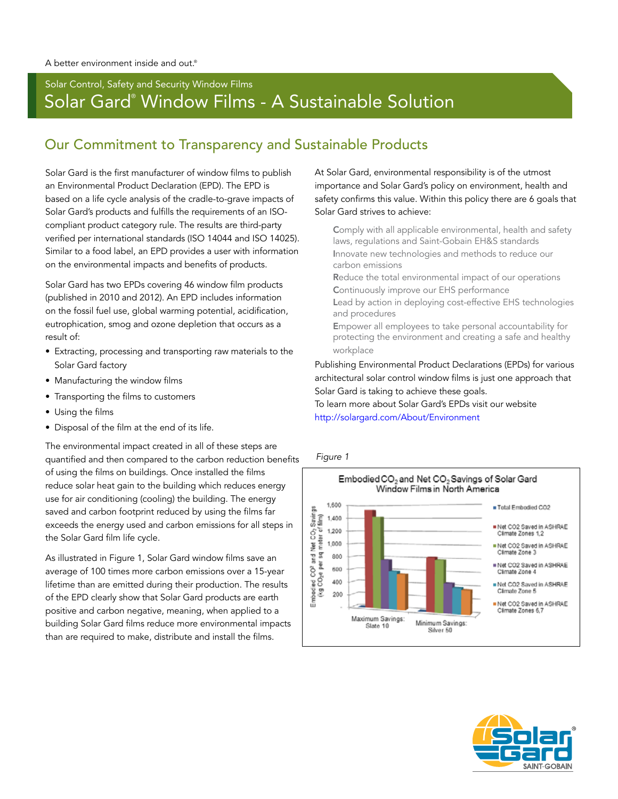## Solar Control, Safety and Security Window Films Solar Gard® Window Films - A Sustainable Solution

## Our Commitment to Transparency and Sustainable Products

Solar Gard is the first manufacturer of window films to publish an Environmental Product Declaration (EPD). The EPD is based on a life cycle analysis of the cradle-to-grave impacts of Solar Gard's products and fulfills the requirements of an ISOcompliant product category rule. The results are third-party verified per international standards (ISO 14044 and ISO 14025). Similar to a food label, an EPD provides a user with information on the environmental impacts and benefits of products.

Solar Gard has two EPDs covering 46 window film products (published in 2010 and 2012). An EPD includes information on the fossil fuel use, global warming potential, acidification, eutrophication, smog and ozone depletion that occurs as a result of:

- Extracting, processing and transporting raw materials to the Solar Gard factory
- Manufacturing the window films
- Transporting the films to customers
- Using the films
- Disposal of the film at the end of its life.

The environmental impact created in all of these steps are quantified and then compared to the carbon reduction benefits of using the films on buildings. Once installed the films reduce solar heat gain to the building which reduces energy use for air conditioning (cooling) the building. The energy saved and carbon footprint reduced by using the films far exceeds the energy used and carbon emissions for all steps in the Solar Gard film life cycle.

As illustrated in Figure 1, Solar Gard window films save an average of 100 times more carbon emissions over a 15-year lifetime than are emitted during their production. The results of the EPD clearly show that Solar Gard products are earth positive and carbon negative, meaning, when applied to a building Solar Gard films reduce more environmental impacts than are required to make, distribute and install the films.

At Solar Gard, environmental responsibility is of the utmost importance and Solar Gard's policy on environment, health and safety confirms this value. Within this policy there are 6 goals that Solar Gard strives to achieve:

Comply with all applicable environmental, health and safety laws, regulations and Saint-Gobain EH&S standards Innovate new technologies and methods to reduce our carbon emissions

Reduce the total environmental impact of our operations Continuously improve our EHS performance

Lead by action in deploying cost-effective EHS technologies and procedures

Empower all employees to take personal accountability for protecting the environment and creating a safe and healthy workplace

Publishing Environmental Product Declarations (EPDs) for various architectural solar control window films is just one approach that Solar Gard is taking to achieve these goals.

To learn more about Solar Gard's EPDs visit our website http://solargard.com/About/Environment